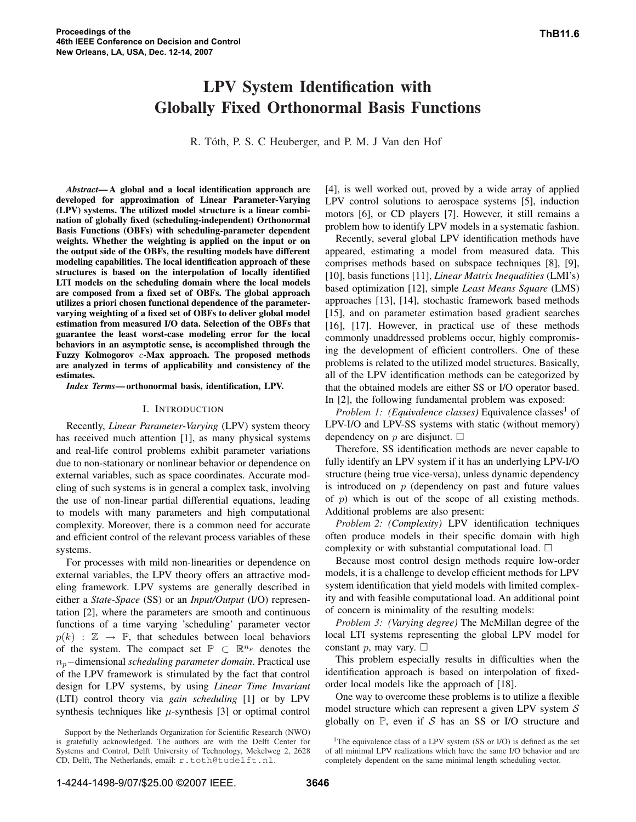# LPV System Identification with Globally Fixed Orthonormal Basis Functions

R. Tóth, P. S. C Heuberger, and P. M. J Van den Hof

*Abstract*—A global and a local identification approach are developed for approximation of Linear Parameter-Varying (LPV) systems. The utilized model structure is a linear combination of globally fixed (scheduling-independent) Orthonormal Basis Functions (OBFs) with scheduling-parameter dependent weights. Whether the weighting is applied on the input or on the output side of the OBFs, the resulting models have different modeling capabilities. The local identification approach of these structures is based on the interpolation of locally identified LTI models on the scheduling domain where the local models are composed from a fixed set of OBFs. The global approach utilizes a priori chosen functional dependence of the parametervarying weighting of a fixed set of OBFs to deliver global model estimation from measured I/O data. Selection of the OBFs that guarantee the least worst-case modeling error for the local behaviors in an asymptotic sense, is accomplished through the Fuzzy Kolmogorov c-Max approach. The proposed methods are analyzed in terms of applicability and consistency of the estimates.

*Index Terms*—orthonormal basis, identification, LPV.

#### I. INTRODUCTION

Recently, *Linear Parameter-Varying* (LPV) system theory has received much attention [1], as many physical systems and real-life control problems exhibit parameter variations due to non-stationary or nonlinear behavior or dependence on external variables, such as space coordinates. Accurate modeling of such systems is in general a complex task, involving the use of non-linear partial differential equations, leading to models with many parameters and high computational complexity. Moreover, there is a common need for accurate and efficient control of the relevant process variables of these systems.

For processes with mild non-linearities or dependence on external variables, the LPV theory offers an attractive modeling framework. LPV systems are generally described in either a *State-Space* (SS) or an *Input/Output* (I/O) representation [2], where the parameters are smooth and continuous functions of a time varying 'scheduling' parameter vector  $p(k)$  :  $\mathbb{Z} \rightarrow \mathbb{P}$ , that schedules between local behaviors of the system. The compact set  $\mathbb{P} \subset \mathbb{R}^{n_p}$  denotes the np−dimensional *scheduling parameter domain*. Practical use of the LPV framework is stimulated by the fact that control design for LPV systems, by using *Linear Time Invariant* (LTI) control theory via *gain scheduling* [1] or by LPV synthesis techniques like  $\mu$ -synthesis [3] or optimal control

[4], is well worked out, proved by a wide array of applied LPV control solutions to aerospace systems [5], induction motors [6], or CD players [7]. However, it still remains a problem how to identify LPV models in a systematic fashion.

Recently, several global LPV identification methods have appeared, estimating a model from measured data. This comprises methods based on subspace techniques [8], [9], [10], basis functions [11], *Linear Matrix Inequalities* (LMI's) based optimization [12], simple *Least Means Square* (LMS) approaches [13], [14], stochastic framework based methods [15], and on parameter estimation based gradient searches [16], [17]. However, in practical use of these methods commonly unaddressed problems occur, highly compromising the development of efficient controllers. One of these problems is related to the utilized model structures. Basically, all of the LPV identification methods can be categorized by that the obtained models are either SS or I/O operator based. In [2], the following fundamental problem was exposed:

*Problem 1: (Equivalence classes)* Equivalence classes<sup>1</sup> of LPV-I/O and LPV-SS systems with static (without memory) dependency on p are disjunct.  $\square$ 

Therefore, SS identification methods are never capable to fully identify an LPV system if it has an underlying LPV-I/O structure (being true vice-versa), unless dynamic dependency is introduced on  $p$  (dependency on past and future values of  $p$ ) which is out of the scope of all existing methods. Additional problems are also present:

*Problem 2: (Complexity)* LPV identification techniques often produce models in their specific domain with high complexity or with substantial computational load.  $\Box$ 

Because most control design methods require low-order models, it is a challenge to develop efficient methods for LPV system identification that yield models with limited complexity and with feasible computational load. An additional point of concern is minimality of the resulting models:

*Problem 3: (Varying degree)* The McMillan degree of the local LTI systems representing the global LPV model for constant p, may vary.  $\Box$ 

This problem especially results in difficulties when the identification approach is based on interpolation of fixedorder local models like the approach of [18].

One way to overcome these problems is to utilize a flexible model structure which can represent a given LPV system  $S$ globally on  $\mathbb{P}$ , even if S has an SS or I/O structure and

Support by the Netherlands Organization for Scientific Research (NWO) is gratefully acknowledged. The authors are with the Delft Center for Systems and Control, Delft University of Technology, Mekelweg 2, 2628 CD, Delft, The Netherlands, email: r.toth@tudelft.nl.

<sup>&</sup>lt;sup>1</sup>The equivalence class of a LPV system (SS or I/O) is defined as the set of all minimal LPV realizations which have the same I/O behavior and are completely dependent on the same minimal length scheduling vector.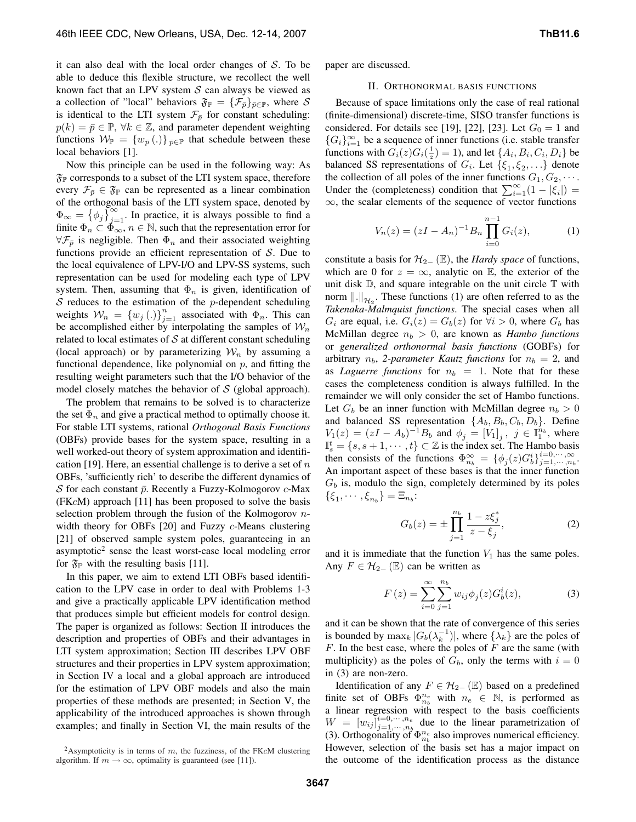it can also deal with the local order changes of  $S$ . To be able to deduce this flexible structure, we recollect the well known fact that an LPV system  $S$  can always be viewed as a collection of "local" behaviors  $\mathfrak{F}_{\mathbb{P}} = {\{\mathcal{F}_{\bar{p}}\}}_{\bar{p}\in \mathbb{P}}$ , where S is identical to the LTI system  $\mathcal{F}_{\bar{p}}$  for constant scheduling:  $p(k) = \bar{p} \in \mathbb{P}, \forall k \in \mathbb{Z},$  and parameter dependent weighting functions  $W_{\mathbb{P}} = \{w_{\bar{p}}(.)\}_{\bar{p}\in\mathbb{P}}$  that schedule between these local behaviors [1].

Now this principle can be used in the following way: As  $\mathfrak{F}_\mathbb{P}$  corresponds to a subset of the LTI system space, therefore every  $\mathcal{F}_{\bar{p}} \in \mathfrak{F}_{\mathbb{P}}$  can be represented as a linear combination of the orthogonal basis of the LTI system space, denoted by  $\Phi_{\infty} = \{\phi_j\}_{j=1}^{\infty}$ . In practice, it is always possible to find a finite  $\Phi_n \subset \Phi_\infty$ ,  $n \in \mathbb{N}$ , such that the representation error for  $\forall \mathcal{F}_{\bar{p}}$  is negligible. Then  $\Phi_n$  and their associated weighting functions provide an efficient representation of  $S$ . Due to the local equivalence of LPV-I/O and LPV-SS systems, such representation can be used for modeling each type of LPV system. Then, assuming that  $\Phi_n$  is given, identification of  $S$  reduces to the estimation of the  $p$ -dependent scheduling weights  $W_n = \{w_j(.)\}_{j=1}^n$  associated with  $\Phi_n$ . This can be accomplished either by interpolating the samples of  $\mathcal{W}_n$ related to local estimates of  $S$  at different constant scheduling (local approach) or by parameterizing  $\mathcal{W}_n$  by assuming a functional dependence, like polynomial on  $p$ , and fitting the resulting weight parameters such that the I/O behavior of the model closely matches the behavior of  $S$  (global approach).

The problem that remains to be solved is to characterize the set  $\Phi_n$  and give a practical method to optimally choose it. For stable LTI systems, rational *Orthogonal Basis Functions* (OBFs) provide bases for the system space, resulting in a well worked-out theory of system approximation and identification [19]. Here, an essential challenge is to derive a set of  $n$ OBFs, 'sufficiently rich' to describe the different dynamics of S for each constant  $\bar{p}$ . Recently a Fuzzy-Kolmogorov  $c$ -Max (FKcM) approach [11] has been proposed to solve the basis selection problem through the fusion of the Kolmogorov  $n$ width theory for OBFs [20] and Fuzzy c-Means clustering [21] of observed sample system poles, guaranteeing in an asymptotic<sup>2</sup> sense the least worst-case local modeling error for  $\mathfrak{F}_P$  with the resulting basis [11].

In this paper, we aim to extend LTI OBFs based identification to the LPV case in order to deal with Problems 1-3 and give a practically applicable LPV identification method that produces simple but efficient models for control design. The paper is organized as follows: Section II introduces the description and properties of OBFs and their advantages in LTI system approximation; Section III describes LPV OBF structures and their properties in LPV system approximation; in Section IV a local and a global approach are introduced for the estimation of LPV OBF models and also the main properties of these methods are presented; in Section V, the applicability of the introduced approaches is shown through examples; and finally in Section VI, the main results of the paper are discussed.

## II. ORTHONORMAL BASIS FUNCTIONS

Because of space limitations only the case of real rational (finite-dimensional) discrete-time, SISO transfer functions is considered. For details see [19], [22], [23]. Let  $G_0 = 1$  and { $G_i$ }<sup>∞</sup><sub>i=1</sub> be a sequence of inner functions (i.e. stable transfer functions with  $G_i(z)G_i(\frac{1}{z}) = 1$ ), and let  $\{A_i, B_i, C_i, D_i\}$  be balanced SS representations of  $G_i$ . Let  $\{\xi_1, \xi_2, \ldots\}$  denote the collection of all poles of the inner functions  $G_1, G_2, \cdots$ . Under the (completeness) condition that  $\sum_{i=1}^{\infty} (1 - |\xi_i|) =$  $\infty$ , the scalar elements of the sequence of vector functions

$$
V_n(z) = (zI - A_n)^{-1} B_n \prod_{i=0}^{n-1} G_i(z), \tag{1}
$$

constitute a basis for  $\mathcal{H}_{2-}(\mathbb{E})$ , the *Hardy space* of functions, which are 0 for  $z = \infty$ , analytic on E, the exterior of the unit disk  $D$ , and square integrable on the unit circle  $T$  with norm  $\|.\|_{\mathcal{H}_2}$ . These functions (1) are often referred to as the *Takenaka-Malmquist functions*. The special cases when all  $G_i$  are equal, i.e.  $G_i(z) = G_b(z)$  for  $\forall i > 0$ , where  $G_b$  has McMillan degree  $n_b > 0$ , are known as *Hambo functions* or *generalized orthonormal basis functions* (GOBFs) for arbitrary  $n_b$ , 2-parameter *Kautz* functions for  $n_b = 2$ , and as *Laguerre functions* for  $n_b = 1$ . Note that for these cases the completeness condition is always fulfilled. In the remainder we will only consider the set of Hambo functions. Let  $G_b$  be an inner function with McMillan degree  $n_b > 0$ and balanced SS representation  $\{A_b, B_b, C_b, D_b\}$ . Define  $V_1(z) = (zI - A_b)^{-1}B_b$  and  $\phi_j = [V_1]_j$ ,  $j \in \mathbb{I}_1^{n_b}$ , where  $\mathbb{I}_s^t = \{s, s+1, \cdots, t\} \subset \mathbb{Z}$  is the index set. The Hambo basis then consists of the functions  $\Phi_{n_b}^{\infty} = {\phi_j(z)G_b^i}_{j=1,\dots,n_b}^{i=0,\dots,\infty}$ . An important aspect of these bases is that the inner function  $G_b$  is, modulo the sign, completely determined by its poles  $\{\xi_1, \cdots, \xi_{n_b}\} = \Xi_{n_b}:$ 

$$
G_b(z) = \pm \prod_{j=1}^{n_b} \frac{1 - z \xi_j^*}{z - \xi_j},
$$
 (2)

and it is immediate that the function  $V_1$  has the same poles. Any  $F \in \mathcal{H}_{2-}(\mathbb{E})$  can be written as

$$
F(z) = \sum_{i=0}^{\infty} \sum_{j=1}^{n_b} w_{ij} \phi_j(z) G_b^i(z),
$$
 (3)

and it can be shown that the rate of convergence of this series is bounded by  $\max_k |G_b(\lambda_k^{-1})|$ , where  $\{\lambda_k\}$  are the poles of  $F$ . In the best case, where the poles of  $F$  are the same (with multiplicity) as the poles of  $G_b$ , only the terms with  $i = 0$ in (3) are non-zero.

Identification of any  $F \in \mathcal{H}_{2-}(\mathbb{E})$  based on a predefined finite set of OBFs  $\Phi_{n_b}^{n_e}$  with  $n_e \in \mathbb{N}$ , is performed as a linear regression with respect to the basis coefficients  $W = [w_{ij}]_{i=1,\cdots,n_e}^{i=0,\cdots,n_e}$  $j=1,\dots,n_e$  due to the linear parametrization of (3). Orthogonality of  $\Phi_{n_b}^{n_e}$  also improves numerical efficiency. However, selection of the basis set has a major impact on the outcome of the identification process as the distance

<sup>&</sup>lt;sup>2</sup>Asymptoticity is in terms of m, the fuzziness, of the FK $c$ M clustering algorithm. If  $m \to \infty$ , optimality is guaranteed (see [11]).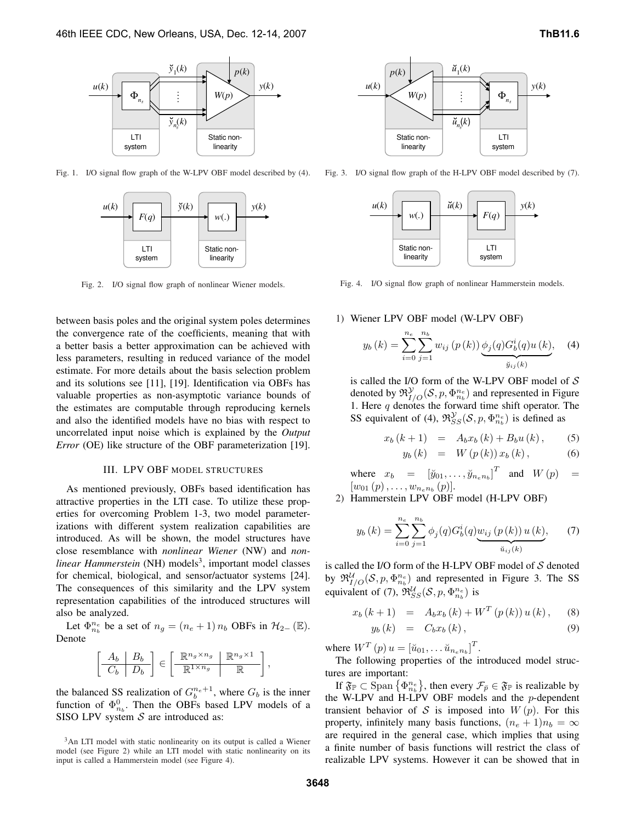

Fig. 1. I/O signal flow graph of the W-LPV OBF model described by (4).



Fig. 2. I/O signal flow graph of nonlinear Wiener models.

between basis poles and the original system poles determines the convergence rate of the coefficients, meaning that with a better basis a better approximation can be achieved with less parameters, resulting in reduced variance of the model estimate. For more details about the basis selection problem and its solutions see [11], [19]. Identification via OBFs has valuable properties as non-asymptotic variance bounds of the estimates are computable through reproducing kernels and also the identified models have no bias with respect to uncorrelated input noise which is explained by the *Output Error* (OE) like structure of the OBF parameterization [19].

# III. LPV OBF MODEL STRUCTURES

As mentioned previously, OBFs based identification has attractive properties in the LTI case. To utilize these properties for overcoming Problem 1-3, two model parameterizations with different system realization capabilities are introduced. As will be shown, the model structures have close resemblance with *nonlinear Wiener* (NW) and *non*linear Hammerstein (NH) models<sup>3</sup>, important model classes for chemical, biological, and sensor/actuator systems [24]. The consequences of this similarity and the LPV system representation capabilities of the introduced structures will also be analyzed.

Let  $\Phi_{n_b}^{n_e}$  be a set of  $n_g = (n_e + 1) n_b$  OBFs in  $\mathcal{H}_{2-}(\mathbb{E})$ . Denote

$$
\left[\begin{array}{c|c} A_b & B_b \\ \hline C_b & D_b \end{array}\right] \in \left[\begin{array}{c|c} \mathbb{R}^{n_g \times n_g} & \mathbb{R}^{n_g \times 1} \\ \hline \mathbb{R}^{1 \times n_g} & \mathbb{R} \end{array}\right],
$$

the balanced SS realization of  $G_b^{n_e+1}$ , where  $G_b$  is the inner function of  $\Phi_{n_b}^0$ . Then the OBFs based LPV models of a SISO LPV system  $S$  are introduced as:

<sup>3</sup>An LTI model with static nonlinearity on its output is called a Wiener model (see Figure 2) while an LTI model with static nonlinearity on its input is called a Hammerstein model (see Figure 4).



Fig. 3. I/O signal flow graph of the H-LPV OBF model described by (7).



Fig. 4. I/O signal flow graph of nonlinear Hammerstein models.

# 1) Wiener LPV OBF model (W-LPV OBF)

$$
y_b(k) = \sum_{i=0}^{n_e} \sum_{j=1}^{n_b} w_{ij} (p(k)) \underbrace{\phi_j(q) G_b^i(q) u(k)}_{\breve{y}_{ij}(k)}, \quad (4)
$$

is called the I/O form of the W-LPV OBF model of  $S$ denoted by  $\mathfrak{R}^{\mathcal{Y}}_{I/O}(\mathcal{S}, p, \Phi_{n_b}^{n_e})$  and represented in Figure 1. Here  $q$  denotes the forward time shift operator. The SS equivalent of (4),  $\mathfrak{R}_{SS}^{\mathcal{Y}}(\mathcal{S}, p, \Phi_{n_b}^{n_e})$  is defined as

$$
x_b (k+1) = A_b x_b (k) + B_b u (k),
$$
 (5)  

$$
y_b (k) = W (p (k)) x_b (k),
$$
 (6)

where  $x_b = \begin{bmatrix} \ddot{y}_{01}, \dots, \ddot{y}_{n_e n_b} \end{bmatrix}^T$  and  $W(p) =$  $[w_{01}(p), \ldots, w_{n_e n_b}(p)].$ 

2) Hammerstein LPV OBF model (H-LPV OBF)

$$
y_b(k) = \sum_{i=0}^{n_e} \sum_{j=1}^{n_b} \phi_j(q) G_b^i(q) \underbrace{w_{ij}(p(k)) u(k)}_{\check{u}_{ij}(k)}, \qquad (7)
$$

is called the I/O form of the H-LPV OBF model of  $S$  denoted by  $\mathfrak{R}^{\mathcal{U}}_{I/O}(\mathcal{S}, p, \Phi_{n_b}^{n_e})$  and represented in Figure 3. The SS equivalent of (7),  $\mathfrak{R}_{SS}^{\mathcal{U}}(\mathcal{S}, p, \Phi_{n_b}^{n_e})$  is

$$
x_b (k+1) = A_b x_b (k) + W^T (p(k)) u(k), \quad (8)
$$

$$
y_b(k) = C_b x_b(k), \qquad (9)
$$

where  $W^T(p)u = [\breve{u}_{01}, \dots \breve{u}_{n_e n_b}]^T$ .

The following properties of the introduced model structures are important:

If  $\mathfrak{F}_{\mathbb{P}} \subset \text{Span } \big\{ \Phi_{n_b}^{n_e} \big\}$ , then every  $\mathcal{F}_{\bar{p}} \in \mathfrak{F}_{\mathbb{P}}$  is realizable by the W-LPV and H-LPV OBF models and the p-dependent transient behavior of S is imposed into  $W(p)$ . For this property, infinitely many basis functions,  $(n_e + 1)n_b = \infty$ are required in the general case, which implies that using a finite number of basis functions will restrict the class of realizable LPV systems. However it can be showed that in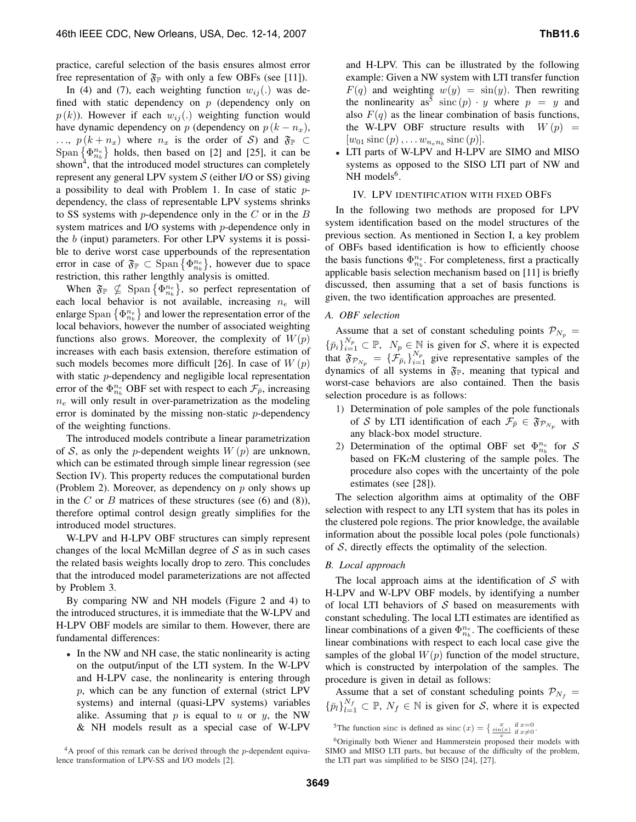practice, careful selection of the basis ensures almost error free representation of  $\mathfrak{F}_\mathbb{P}$  with only a few OBFs (see [11]).

In (4) and (7), each weighting function  $w_{ij}$ . was defined with static dependency on  $p$  (dependency only on  $p(k)$ ). However if each  $w_{ij}$ (.) weighting function would have dynamic dependency on p (dependency on  $p (k - n_x)$ , ...,  $p(k + n_x)$  where  $n_x$  is the order of S) and  $\mathfrak{F}_\mathbb{P}$   $\subset$ Span  $\{\Phi_{n_b}^{n_e}\}\$  holds, then based on [2] and [25], it can be shown<sup>4</sup>, that the introduced model structures can completely represent any general LPV system  $S$  (either I/O or SS) giving a possibility to deal with Problem 1. In case of static pdependency, the class of representable LPV systems shrinks to SS systems with  $p$ -dependence only in the  $C$  or in the  $B$ system matrices and I/O systems with p-dependence only in the b (input) parameters. For other LPV systems it is possible to derive worst case upperbounds of the representation error in case of  $\mathfrak{F}_{\mathbb{P}} \subset \text{Span}\left\{\Phi_{n_b}^{n_e}\right\}$ , however due to space restriction, this rather lengthly analysis is omitted.

When  $\mathfrak{F}_{\mathbb{P}} \nsubseteq \text{Span} \{\Phi_{n_b}^{n_e}\},$  so perfect representation of each local behavior is not available, increasing  $n_e$  will enlarge Span  $\{\Phi_{n_b}^{n_e}\}$  and lower the representation error of the local behaviors, however the number of associated weighting functions also grows. Moreover, the complexity of  $W(p)$ increases with each basis extension, therefore estimation of such models becomes more difficult [26]. In case of  $W(p)$ with static *p*-dependency and negligible local representation error of the  $\Phi_{n_b}^{n_e}$  OBF set with respect to each  $\mathcal{F}_{\bar{p}}$ , increasing  $n_e$  will only result in over-parametrization as the modeling error is dominated by the missing non-static p-dependency of the weighting functions.

The introduced models contribute a linear parametrization of S, as only the p-dependent weights  $W(p)$  are unknown, which can be estimated through simple linear regression (see Section IV). This property reduces the computational burden (Problem 2). Moreover, as dependency on  $p$  only shows up in the C or B matrices of these structures (see  $(6)$  and  $(8)$ ), therefore optimal control design greatly simplifies for the introduced model structures.

W-LPV and H-LPV OBF structures can simply represent changes of the local McMillan degree of  $S$  as in such cases the related basis weights locally drop to zero. This concludes that the introduced model parameterizations are not affected by Problem 3.

By comparing NW and NH models (Figure 2 and 4) to the introduced structures, it is immediate that the W-LPV and H-LPV OBF models are similar to them. However, there are fundamental differences:

• In the NW and NH case, the static nonlinearity is acting on the output/input of the LTI system. In the W-LPV and H-LPV case, the nonlinearity is entering through p, which can be any function of external (strict LPV systems) and internal (quasi-LPV systems) variables alike. Assuming that  $p$  is equal to  $u$  or  $y$ , the NW & NH models result as a special case of W-LPV

and H-LPV. This can be illustrated by the following example: Given a NW system with LTI transfer function  $F(q)$  and weighting  $w(y) = \sin(y)$ . Then rewriting the nonlinearity as<sup>5</sup> sinc  $(p) \cdot y$  where  $p = y$  and also  $F(q)$  as the linear combination of basis functions, the W-LPV OBF structure results with  $W(p)$  =  $[w_{01} \operatorname{sinc}(p), \ldots w_{n_e n_b} \operatorname{sinc}(p)].$ 

• LTI parts of W-LPV and H-LPV are SIMO and MISO systems as opposed to the SISO LTI part of NW and  $NH$  models<sup>6</sup>.

#### IV. LPV IDENTIFICATION WITH FIXED OBFS

In the following two methods are proposed for LPV system identification based on the model structures of the previous section. As mentioned in Section I, a key problem of OBFs based identification is how to efficiently choose the basis functions  $\Phi_{n_b}^{n_e}$ . For completeness, first a practically applicable basis selection mechanism based on [11] is briefly discussed, then assuming that a set of basis functions is given, the two identification approaches are presented.

## *A. OBF selection*

Assume that a set of constant scheduling points  $\mathcal{P}_{N_p} =$  $\{\bar{p}_i\}_{i=1}^{N_p} \subset \mathbb{P}, N_p \in \mathbb{N}$  is given for S, where it is expected that  $\mathfrak{F}_{\mathcal{P}_{N_p}} = {\{\mathcal{F}_{\bar{p}_i}\}}_{i=1}^{N_p}$  give representative samples of the dynamics of all systems in  $\mathfrak{F}_P$ , meaning that typical and worst-case behaviors are also contained. Then the basis selection procedure is as follows:

- 1) Determination of pole samples of the pole functionals of S by LTI identification of each  $\mathcal{F}_{\bar{p}} \in \mathfrak{F}_{\mathcal{P}_{N_p}}$  with any black-box model structure.
- 2) Determination of the optimal OBF set  $\Phi_{n_b}^{n_e}$  for S based on FKcM clustering of the sample poles. The procedure also copes with the uncertainty of the pole estimates (see [28]).

The selection algorithm aims at optimality of the OBF selection with respect to any LTI system that has its poles in the clustered pole regions. The prior knowledge, the available information about the possible local poles (pole functionals) of  $S$ , directly effects the optimality of the selection.

## *B. Local approach*

The local approach aims at the identification of  $S$  with H-LPV and W-LPV OBF models, by identifying a number of local LTI behaviors of  $S$  based on measurements with constant scheduling. The local LTI estimates are identified as linear combinations of a given  $\Phi_{n_b}^{n_e}$ . The coefficients of these linear combinations with respect to each local case give the samples of the global  $W(p)$  function of the model structure, which is constructed by interpolation of the samples. The procedure is given in detail as follows:

Assume that a set of constant scheduling points  $\mathcal{P}_{N_f}$  =  $\{\bar{p}_l\}_{l=1}^{N_f} \subset \mathbb{P}, N_f \in \mathbb{N}$  is given for S, where it is expected

<sup>5</sup>The function sinc is defined as sinc  $(x) = \begin{cases} \frac{x}{\sin(x)} & \text{if } x=0 \\ \frac{\sin(x)}{\sin(x)} & \text{if } x \neq 0 \end{cases}$ .

 $4A$  proof of this remark can be derived through the p-dependent equivalence transformation of LPV-SS and I/O models [2].

<sup>&</sup>lt;sup>6</sup>Originally both Wiener and Hammerstein proposed their models with SIMO and MISO LTI parts, but because of the difficulty of the problem, the LTI part was simplified to be SISO [24], [27].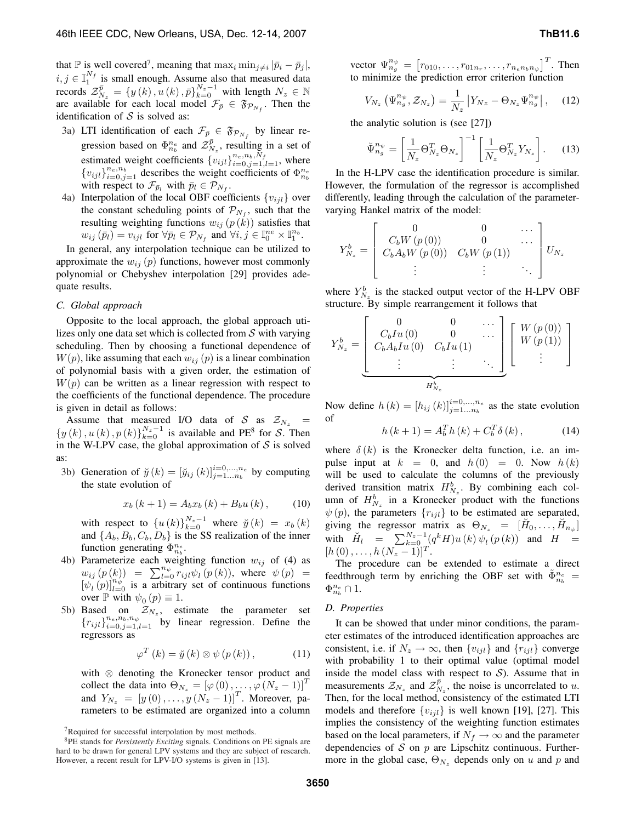that  $\mathbb P$  is well covered<sup>7</sup>, meaning that  $\max_i \min_{j \neq i} |\bar{p}_i - \bar{p}_j|$ ,  $i, j \in \mathbb{I}_1^{N_f}$  is small enough. Assume also that measured data records  $\mathcal{Z}_{N_z}^{\bar{p}} = \{y(k), u(k), \bar{p}\}_{k=0}^{N_z-1}$  with length  $N_z \in \mathbb{N}$ are available for each local model  $\mathcal{F}_{\bar{p}} \in \mathfrak{F}_{\mathcal{P}_{N_f}}$ . Then the identification of  $S$  is solved as:

- 3a) LTI identification of each  $\mathcal{F}_{\bar{p}} \in \mathfrak{F}_{\mathcal{P}_{N_f}}$  by linear regression based on  $\Phi_{n_b}^{n_e}$  and  $\mathcal{Z}_{N_z}^{\bar{p}}$ , resulting in a set of estimated weight coefficients  $\{v_{ijl}\}_{i=0,j=1,l=1}^{n_e,n_b,N_f}$ , where  ${v_{ijl}}_{i=0,j=1}^{n_e,n_b}$  describes the weight coefficients of  $\Phi_{n_b}^{n_e}$ with respect to  $\mathcal{F}_{\bar{p}_l}$  with  $\bar{p}_l \in \mathcal{P}_{N_f}$ .
- 4a) Interpolation of the local OBF coefficients  $\{v_{ijl}\}$  over the constant scheduling points of  $\mathcal{P}_{N_f}$ , such that the resulting weighting functions  $w_{ij}$  ( $p(k)$ ) satisfies that  $w_{ij}(\bar{p}_l) = v_{ijl}$  for  $\forall \bar{p}_l \in \mathcal{P}_{N_f}$  and  $\forall i, j \in \mathbb{I}_0^{ne} \times \mathbb{I}_1^{n_b}$ .

In general, any interpolation technique can be utilized to approximate the  $w_{ij}(p)$  functions, however most commonly polynomial or Chebyshev interpolation [29] provides adequate results.

## *C. Global approach*

Opposite to the local approach, the global approach utilizes only one data set which is collected from  $S$  with varying scheduling. Then by choosing a functional dependence of  $W(p)$ , like assuming that each  $w_{ij}(p)$  is a linear combination of polynomial basis with a given order, the estimation of  $W(p)$  can be written as a linear regression with respect to the coefficients of the functional dependence. The procedure is given in detail as follows:

Assume that measured I/O data of S as  $\mathcal{Z}_{N_z}$  =  $\{y(k), u(k), p(k)\}_{k=0}^{N_z-1}$  is available and PE<sup>8</sup> for S. Then in the W-LPV case, the global approximation of  $S$  is solved as:

3b) Generation of  $\breve{y}(k) = [\breve{y}_{ij}(k)]_{j=1...n_b}^{i=0,...,n_e}$  by computing the state evolution of

$$
x_b (k+1) = A_b x_b (k) + B_b u (k) , \qquad (10)
$$

with respect to  $\{u(k)\}_{k=0}^{N_z-1}$  where  $\check{y}(k) = x_b(k)$ and  $\{A_b, B_b, C_b, D_b\}$  is the SS realization of the inner function generating  $\Phi_{n_b}^{n_e}$ .

- 4b) Parameterize each weighting function  $w_{ij}$  of (4) as  $w_{ij}(p(k)) = \sum_{l=0}^{n_{\psi}} r_{ijl} \psi_l(p(k))$ , where  $\psi(p) =$  $[\psi_l(p)]_{l=0}^{n_{\psi}}$  is a arbitrary set of continuous functions over  $\mathbb P$  with  $\psi_0(p) \equiv 1$ .
- 5b) Based on  $\mathcal{Z}_{N_z}$ , estimate the parameter set  ${r_{ijl}}_{i=0,j=1,l=1}^{n_e,n_b,n_\psi}$  by linear regression. Define the regressors as

$$
\varphi^{T}\left(k\right) = \breve{y}\left(k\right) \otimes \psi\left(p\left(k\right)\right),\tag{11}
$$

with ⊗ denoting the Kronecker tensor product and collect the data into  $\Theta_{N_z} = [\varphi(0), \ldots, \varphi(N_z - 1)]^T$ and  $Y_{N_z} = [y(0),...,y(N_z-1)]^T$ . Moreover, parameters to be estimated are organized into a column

vector  $\Psi_{n_g}^{n_\psi} = \left[ r_{010}, \ldots, r_{01n_r}, \ldots, r_{n_en_bn_\psi} \right]^T$ . Then to minimize the prediction error criterion function

$$
V_{N_z} \left( \Psi_{n_g}^{n_\psi}, \mathcal{Z}_{N_z} \right) = \frac{1}{N_z} \left| Y_{Nz} - \Theta_{N_z} \Psi_{n_g}^{n_\psi} \right|, \quad (12)
$$

the analytic solution is (see [27])

$$
\breve{\Psi}_{n_g}^{n_{\psi}} = \left[\frac{1}{N_z} \Theta_{N_z}^T \Theta_{N_z}\right]^{-1} \left[\frac{1}{N_z} \Theta_{N_z}^T Y_{N_z}\right].
$$
 (13)

In the H-LPV case the identification procedure is similar. However, the formulation of the regressor is accomplished differently, leading through the calculation of the parametervarying Hankel matrix of the model:

$$
Y_{N_z}^b = \begin{bmatrix} 0 & 0 & \cdots \\ C_b W(p(0)) & 0 & \cdots \\ C_b A_b W(p(0)) & C_b W(p(1)) & \cdots \\ \vdots & \vdots & \ddots \end{bmatrix} U_{N_z}
$$

where  $Y_{N_z}^b$  is the stacked output vector of the H-LPV OBF structure. By simple rearrangement it follows that

$$
Y_{N_z}^b = \underbrace{\begin{bmatrix} 0 & 0 & \cdots \\ C_b I u (0) & 0 & \cdots \\ C_b A_b I u (0) & C_b I u (1) & \\ \vdots & \vdots & \ddots \end{bmatrix}}_{H_{N_z}^b} \begin{bmatrix} W(p (0)) \\ W(p (1)) \\ \vdots \end{bmatrix}
$$

Now define  $h(k) = [h_{ij}(k)]_{j=1...n_b}^{i=0,...,n_e}$  as the state evolution of

$$
h(k+1) = A_b^T h(k) + C_b^T \delta(k), \qquad (14)
$$

where  $\delta(k)$  is the Kronecker delta function, i.e. an impulse input at  $k = 0$ , and  $h(0) = 0$ . Now  $h(k)$ will be used to calculate the columns of the previously derived transition matrix  $H_{N_z}^b$ . By combining each column of  $H_{N_z}^b$  in a Kronecker product with the functions  $\psi(p)$ , the parameters  $\{r_{ijl}\}$  to be estimated are separated, giving the regressor matrix as  $\Theta_{N_z} = [\breve{H}_0, \dots, \breve{H}_{n_{\psi}}]$ with  $\ddot{H}_l = \sum_{k=0}^{N_z-1} (q^k H) u(k) \psi_l(p(k))$  and  $H =$  $[h(0),...,h(N_z-1)]^T.$ 

The procedure can be extended to estimate a direct feedthrough term by enriching the OBF set with  $\tilde{\Phi}_{n_b}^{n_e}$  =  $\Phi_{n_b}^{n_e} \cap 1.$ 

#### *D. Properties*

It can be showed that under minor conditions, the parameter estimates of the introduced identification approaches are consistent, i.e. if  $N_z \rightarrow \infty$ , then  $\{v_{ijl}\}\$  and  $\{r_{ijl}\}\$ converge with probability 1 to their optimal value (optimal model inside the model class with respect to  $S$ ). Assume that in measurements  $\mathcal{Z}_{N_z}$  and  $\mathcal{Z}_{N_z}^{\bar{p}}$ , the noise is uncorrelated to u. Then, for the local method, consistency of the estimated LTI models and therefore  $\{v_{ijl}\}\$ is well known [19], [27]. This implies the consistency of the weighting function estimates based on the local parameters, if  $N_f \to \infty$  and the parameter dependencies of  $S$  on  $p$  are Lipschitz continuous. Furthermore in the global case,  $\Theta_{N_z}$  depends only on u and p and

<sup>7</sup>Required for successful interpolation by most methods.

<sup>8</sup>PE stands for *Persistently Exciting* signals. Conditions on PE signals are hard to be drawn for general LPV systems and they are subject of research. However, a recent result for LPV-I/O systems is given in [13].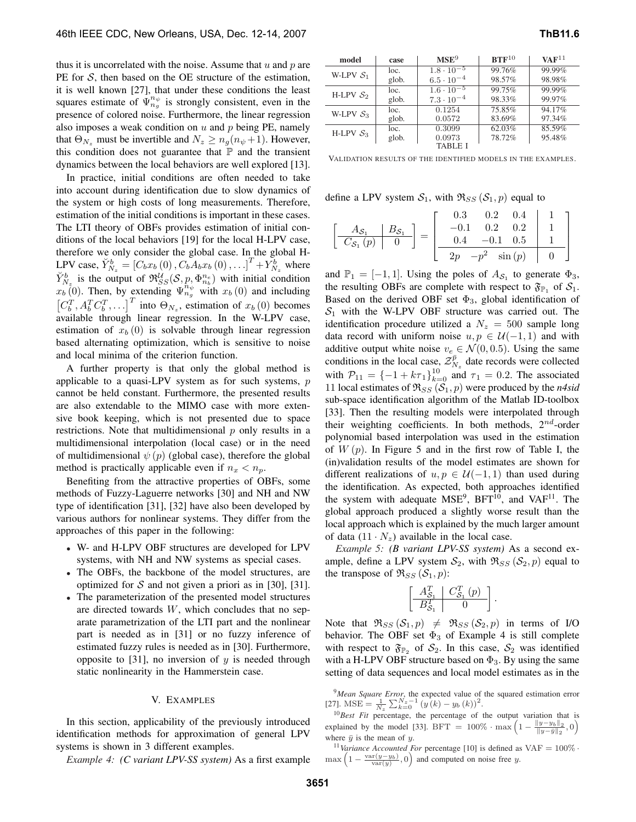thus it is uncorrelated with the noise. Assume that  $u$  and  $p$  are PE for  $S$ , then based on the OE structure of the estimation, it is well known [27], that under these conditions the least squares estimate of  $\Psi_{n_g}^{n_{\psi}}$  is strongly consistent, even in the presence of colored noise. Furthermore, the linear regression also imposes a weak condition on  $u$  and  $p$  being PE, namely that  $\Theta_{N_z}$  must be invertible and  $N_z \ge n_g(n_\psi + 1)$ . However, this condition does not guarantee that  $\mathbb P$  and the transient dynamics between the local behaviors are well explored [13].

In practice, initial conditions are often needed to take into account during identification due to slow dynamics of the system or high costs of long measurements. Therefore, estimation of the initial conditions is important in these cases. The LTI theory of OBFs provides estimation of initial conditions of the local behaviors [19] for the local H-LPV case, therefore we only consider the global case. In the global H-LPV case,  $\breve{Y}_{N_z}^b = [C_b x_b(0), C_b A_b x_b(0),...]^T + Y_{N_z}^b$  where  $\check{Y}_{N_z}^b$  is the output of  $\mathfrak{R}_{SS}^{\mathcal{U}}(\mathcal{S},p,\Phi_{n_b}^{n_e})$  with initial condition  $x_b(0)$ . Then, by extending  $\Psi_{n_g}^{\tilde{n}_{\psi}}$  with  $x_b(0)$  and including  $[C_b^T, A_b^T C_b^T, \ldots]^T$  into  $\Theta_{N_z}$ , estimation of  $x_b(0)$  becomes available through linear regression. In the W-LPV case, estimation of  $x_b (0)$  is solvable through linear regression based alternating optimization, which is sensitive to noise and local minima of the criterion function.

A further property is that only the global method is applicable to a quasi-LPV system as for such systems,  $p$ cannot be held constant. Furthermore, the presented results are also extendable to the MIMO case with more extensive book keeping, which is not presented due to space restrictions. Note that multidimensional  $p$  only results in a multidimensional interpolation (local case) or in the need of multidimensional  $\psi(p)$  (global case), therefore the global method is practically applicable even if  $n_x < n_p$ .

Benefiting from the attractive properties of OBFs, some methods of Fuzzy-Laguerre networks [30] and NH and NW type of identification [31], [32] have also been developed by various authors for nonlinear systems. They differ from the approaches of this paper in the following:

- W- and H-LPV OBF structures are developed for LPV systems, with NH and NW systems as special cases.
- The OBFs, the backbone of the model structures, are optimized for S and not given a priori as in [30], [31].
- The parameterization of the presented model structures are directed towards W, which concludes that no separate parametrization of the LTI part and the nonlinear part is needed as in [31] or no fuzzy inference of estimated fuzzy rules is needed as in [30]. Furthermore, opposite to [31], no inversion of  $y$  is needed through static nonlinearity in the Hammerstein case.

#### V. EXAMPLES

In this section, applicability of the previously introduced identification methods for approximation of general LPV systems is shown in 3 different examples.

*Example 4: (C variant LPV-SS system)* As a first example

| model       | case  | MSE <sup>9</sup>    | $BTF^{10}$ | $VAF^{11}$ |
|-------------|-------|---------------------|------------|------------|
| W-LPV $S_1$ | loc.  | $1.8 \cdot 10^{-5}$ | 99.76%     | 99.99%     |
|             | glob. | $6.5 \cdot 10^{-4}$ | 98.57%     | 98.98%     |
| H-LPV $S_2$ | loc.  | $1.6 \cdot 10^{-5}$ | 99.75%     | 99.99%     |
|             | glob. | $7.3 \cdot 10^{-4}$ | 98.33%     | 99.97%     |
| W-LPV $S_3$ | loc.  | 0.1254              | 75.85%     | 94.17%     |
|             | glob. | 0.0572              | 83.69%     | 97.34%     |
| H-LPV $S_3$ | loc.  | 0.3099              | 62.03%     | 85.59%     |
|             | glob. | 0.0973              | 78.72%     | 95.48%     |
|             |       | TABLE I             |            |            |

VALIDATION RESULTS OF THE IDENTIFIED MODELS IN THE EXAMPLES.

define a LPV system  $S_1$ , with  $\Re_{SS}$  ( $S_1$ , p) equal to

$$
\left[\begin{array}{c|c}\nA_{\mathcal{S}_1} & B_{\mathcal{S}_1} \\
\hline\nC_{\mathcal{S}_1}(p) & 0\n\end{array}\right] = \left[\begin{array}{c|c}\n0.3 & 0.2 & 0.4 & 1 \\
-0.1 & 0.2 & 0.2 & 1 \\
0.4 & -0.1 & 0.5 & 1 \\
\hline\n2p & -p^2 & \sin(p) & 0\n\end{array}\right]
$$

and  $\mathbb{P}_1 = [-1, 1]$ . Using the poles of  $A_{\mathcal{S}_1}$  to generate  $\Phi_3$ , the resulting OBFs are complete with respect to  $\mathfrak{F}_{\mathbb{P}_1}$  of  $\mathcal{S}_1$ . Based on the derived OBF set  $\Phi_3$ , global identification of  $S_1$  with the W-LPV OBF structure was carried out. The identification procedure utilized a  $N_z = 500$  sample long data record with uniform noise  $u, p \in \mathcal{U}(-1, 1)$  and with additive output white noise  $v_e \in \mathcal{N}(0, 0.5)$ . Using the same conditions in the local case,  $\mathcal{Z}_{N_z}^{\bar{p}}$  date records were collected with  $P_{11} = \{-1 + k\tau_1\}_{k=0}^{10}$  and  $\tau_1 = 0.2$ . The associated 11 local estimates of  $\Re_{SS}(\mathcal{S}_1, p)$  were produced by the *n4sid* sub-space identification algorithm of the Matlab ID-toolbox [33]. Then the resulting models were interpolated through their weighting coefficients. In both methods,  $2^{nd}$ -order polynomial based interpolation was used in the estimation of  $W(p)$ . In Figure 5 and in the first row of Table I, the (in)validation results of the model estimates are shown for different realizations of  $u, p \in \mathcal{U}(-1, 1)$  than used during the identification. As expected, both approaches identified the system with adequate  $MSE<sup>9</sup>$ , BFT<sup>10</sup>, and VAF<sup>11</sup>. The global approach produced a slightly worse result than the local approach which is explained by the much larger amount of data  $(11 \cdot N_z)$  available in the local case.

*Example 5: (B variant LPV-SS system)* As a second example, define a LPV system  $S_2$ , with  $\Re_{SS}$  ( $S_2$ , p) equal to the transpose of  $\Re_{SS}(\mathcal{S}_1, p)$ :

$$
\left[\begin{array}{c|c} A_{\mathcal{S}_1}^T & C_{\mathcal{S}_1}^T(p) \\ \hline B_{\mathcal{S}_1}^T & 0 \end{array}\right].
$$

Note that  $\Re_{SS}(\mathcal{S}_1, p) \neq \Re_{SS}(\mathcal{S}_2, p)$  in terms of I/O behavior. The OBF set  $\Phi_3$  of Example 4 is still complete with respect to  $\mathfrak{F}_{\mathbb{P}_2}$  of  $\mathcal{S}_2$ . In this case,  $\mathcal{S}_2$  was identified with a H-LPV OBF structure based on  $\Phi_3$ . By using the same setting of data sequences and local model estimates as in the

<sup>11</sup>Variance Accounted For percentage [10] is defined as  $VAF = 100\%$ .  $\max\left(1-\frac{\text{var}(y-y_b)}{\text{var}(y)},0\right)$  and computed on noise free y.

<sup>9</sup>*Mean Square Error*, the expected value of the squared estimation error [27]. MSE =  $\frac{1}{N_z} \sum_{k=0}^{N_z-1} (y(k) - y_b(k))^2$ .

<sup>10</sup>*Best Fit* percentage, the percentage of the output variation that is explained by the model [33]. BFT =  $100\% \cdot \max\left(1 - \frac{\|y - y_b\|_2}{\|y - \bar{y}\|_2}, 0\right)$ where  $\bar{y}$  is the mean of y.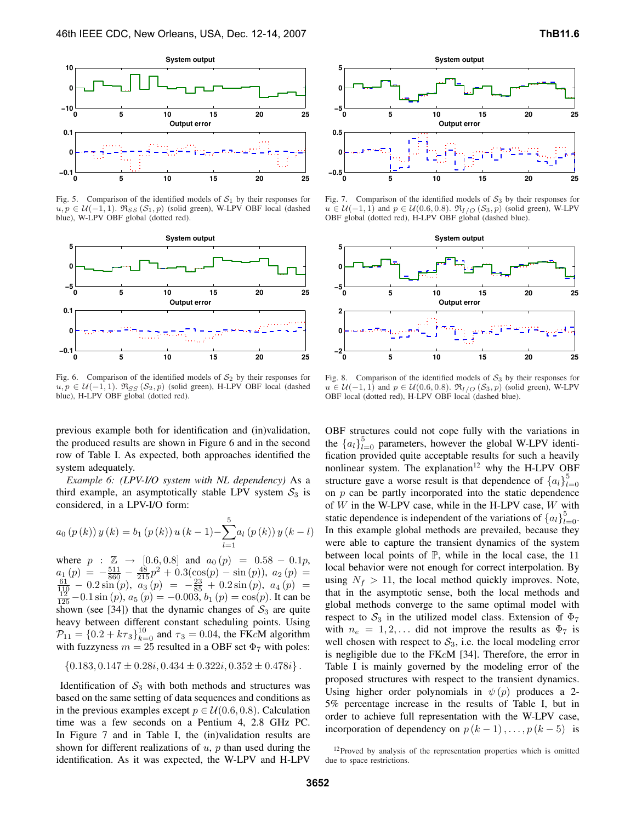

Fig. 5. Comparison of the identified models of  $S_1$  by their responses for  $u, p \in \mathcal{U}(-1, 1)$ .  $\Re_{SS}(\mathcal{S}_1, p)$  (solid green), W-LPV OBF local (dashed blue), W-LPV OBF global (dotted red).



Fig. 6. Comparison of the identified models of  $S_2$  by their responses for  $u, p \in \mathcal{U}(-1, 1)$ .  $\mathfrak{R}_{SS}(\mathcal{S}_2, p)$  (solid green), H-LPV OBF local (dashed blue), H-LPV OBF global (dotted red).

previous example both for identification and (in)validation, the produced results are shown in Figure 6 and in the second row of Table I. As expected, both approaches identified the system adequately.

*Example 6: (LPV-I/O system with NL dependency)* As a third example, an asymptotically stable LPV system  $S_3$  is considered, in a LPV-I/O form:

$$
a_0 (p(k)) y (k) = b_1 (p(k)) u (k-1) - \sum_{l=1}^{5} a_l (p(k)) y (k-l)
$$

where  $p : \mathbb{Z} \to [0.6, 0.8]$  and  $a_0(p) = 0.58 - 0.1p$ ,  $a_1(p) = -\frac{511}{860} - \frac{48}{215}p^2 + 0.3(\cos(p) - \sin(p)), a_2(p) = \frac{61}{110} - 0.2\sin(p), a_3(p) = -\frac{23}{85} + 0.2\sin(p), a_4(p) = \frac{12}{125} - 0.1\sin(p), a_5(p) = -0.003, b_1(p) = \cos(p)$ . It can be shown (see [34]) that the dynamic changes of  $S_3$  are quite heavy between different constant scheduling points. Using  $\mathcal{P}_{11} = \{0.2 + k\tau_3\}_{k=0}^{10}$  and  $\tau_3 = 0.04$ , the FKcM algorithm with fuzzyness  $m = 25$  resulted in a OBF set  $\Phi_7$  with poles:

$$
{0.183, 0.147 \pm 0.28i, 0.434 \pm 0.322i, 0.352 \pm 0.478i}.
$$

Identification of  $S_3$  with both methods and structures was based on the same setting of data sequences and conditions as in the previous examples except  $p \in \mathcal{U}(0.6, 0.8)$ . Calculation time was a few seconds on a Pentium 4, 2.8 GHz PC. In Figure 7 and in Table I, the (in)validation results are shown for different realizations of  $u$ ,  $p$  than used during the identification. As it was expected, the W-LPV and H-LPV



Fig. 7. Comparison of the identified models of  $S_3$  by their responses for  $u \in \mathcal{U}(-1, 1)$  and  $p \in \mathcal{U}(0.6, 0.8)$ .  $\mathfrak{R}_{I/O}(\mathcal{S}_3, p)$  (solid green), W-LPV OBF global (dotted red), H-LPV OBF global (dashed blue).



Fig. 8. Comparison of the identified models of  $S_3$  by their responses for  $u \in \mathcal{U}(-1, 1)$  and  $p \in \mathcal{U}(0.6, 0.8)$ .  $\mathfrak{R}_{I/O}(\mathcal{S}_3, p)$  (solid green), W-LPV OBF local (dotted red), H-LPV OBF local (dashed blue).

OBF structures could not cope fully with the variations in the  ${a_l}_{l=0}^5$  parameters, however the global W-LPV identification provided quite acceptable results for such a heavily nonlinear system. The explanation $12$  why the H-LPV OBF structure gave a worse result is that dependence of  ${a_l}_{l}^5$  $_{l=0}$ on  $p$  can be partly incorporated into the static dependence of  $W$  in the W-LPV case, while in the H-LPV case,  $W$  with static dependence is independent of the variations of  $\{a_l\}_{l=0}^5$ . In this example global methods are prevailed, because they were able to capture the transient dynamics of the system between local points of  $\mathbb{P}$ , while in the local case, the 11 local behavior were not enough for correct interpolation. By using  $N_f > 11$ , the local method quickly improves. Note, that in the asymptotic sense, both the local methods and global methods converge to the same optimal model with respect to  $S_3$  in the utilized model class. Extension of  $\Phi_7$ with  $n_e = 1, 2, \ldots$  did not improve the results as  $\Phi_7$  is well chosen with respect to  $S_3$ , i.e. the local modeling error is negligible due to the FKcM [34]. Therefore, the error in Table I is mainly governed by the modeling error of the proposed structures with respect to the transient dynamics. Using higher order polynomials in  $\psi(p)$  produces a 2-5% percentage increase in the results of Table I, but in order to achieve full representation with the W-LPV case, incorporation of dependency on  $p (k - 1), \ldots, p (k - 5)$  is

<sup>&</sup>lt;sup>12</sup>Proved by analysis of the representation properties which is omitted due to space restrictions.